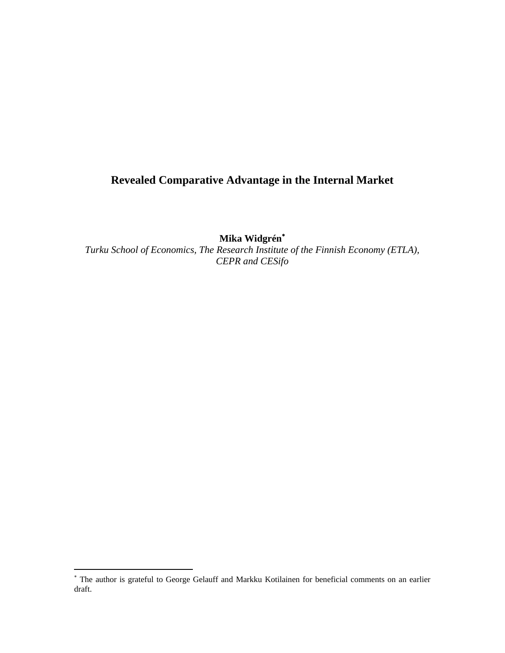# **Revealed Comparative Advantage in the Internal Market**

**Mika Widgrén**[∗](#page-0-0)

*Turku School of Economics, The Research Institute of the Finnish Economy (ETLA), CEPR and CESifo* 

<span id="page-0-0"></span> ∗ The author is grateful to George Gelauff and Markku Kotilainen for beneficial comments on an earlier draft.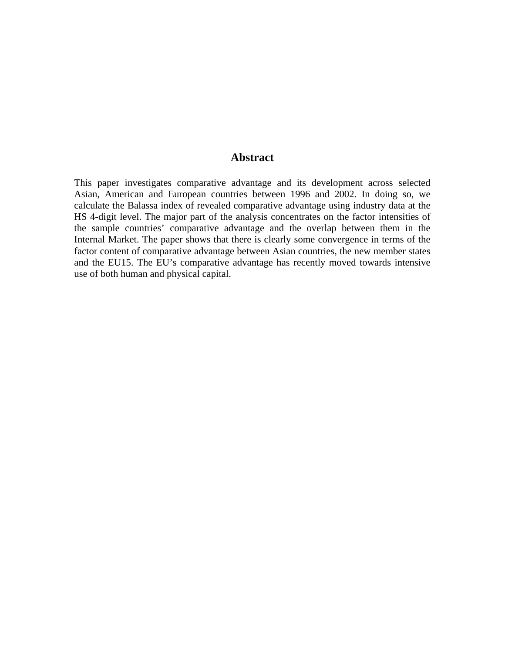### **Abstract**

This paper investigates comparative advantage and its development across selected Asian, American and European countries between 1996 and 2002. In doing so, we calculate the Balassa index of revealed comparative advantage using industry data at the HS 4-digit level. The major part of the analysis concentrates on the factor intensities of the sample countries' comparative advantage and the overlap between them in the Internal Market. The paper shows that there is clearly some convergence in terms of the factor content of comparative advantage between Asian countries, the new member states and the EU15. The EU's comparative advantage has recently moved towards intensive use of both human and physical capital.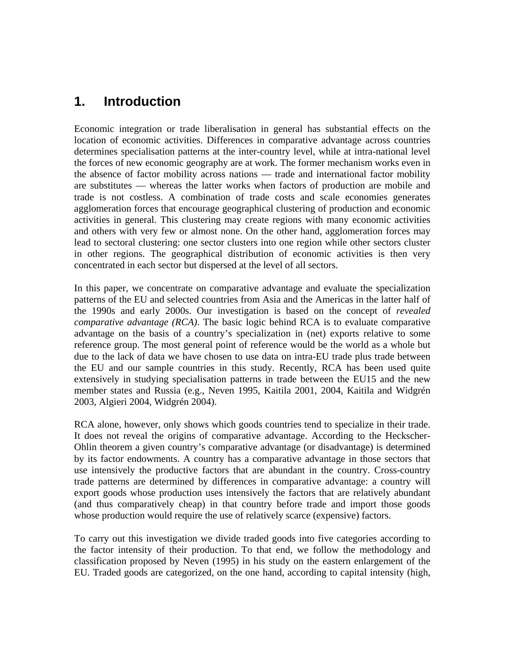# **1. Introduction**

Economic integration or trade liberalisation in general has substantial effects on the location of economic activities. Differences in comparative advantage across countries determines specialisation patterns at the inter-country level, while at intra-national level the forces of new economic geography are at work. The former mechanism works even in the absence of factor mobility across nations — trade and international factor mobility are substitutes — whereas the latter works when factors of production are mobile and trade is not costless. A combination of trade costs and scale economies generates agglomeration forces that encourage geographical clustering of production and economic activities in general. This clustering may create regions with many economic activities and others with very few or almost none. On the other hand, agglomeration forces may lead to sectoral clustering: one sector clusters into one region while other sectors cluster in other regions. The geographical distribution of economic activities is then very concentrated in each sector but dispersed at the level of all sectors.

In this paper, we concentrate on comparative advantage and evaluate the specialization patterns of the EU and selected countries from Asia and the Americas in the latter half of the 1990s and early 2000s. Our investigation is based on the concept of *revealed comparative advantage (RCA)*. The basic logic behind RCA is to evaluate comparative advantage on the basis of a country's specialization in (net) exports relative to some reference group. The most general point of reference would be the world as a whole but due to the lack of data we have chosen to use data on intra-EU trade plus trade between the EU and our sample countries in this study. Recently, RCA has been used quite extensively in studying specialisation patterns in trade between the EU15 and the new member states and Russia (e.g., Neven 1995, Kaitila 2001, 2004, Kaitila and Widgrén 2003, Algieri 2004, Widgrén 2004).

RCA alone, however, only shows which goods countries tend to specialize in their trade. It does not reveal the origins of comparative advantage. According to the Heckscher-Ohlin theorem a given country's comparative advantage (or disadvantage) is determined by its factor endowments. A country has a comparative advantage in those sectors that use intensively the productive factors that are abundant in the country. Cross-country trade patterns are determined by differences in comparative advantage: a country will export goods whose production uses intensively the factors that are relatively abundant (and thus comparatively cheap) in that country before trade and import those goods whose production would require the use of relatively scarce (expensive) factors.

To carry out this investigation we divide traded goods into five categories according to the factor intensity of their production. To that end, we follow the methodology and classification proposed by Neven (1995) in his study on the eastern enlargement of the EU. Traded goods are categorized, on the one hand, according to capital intensity (high,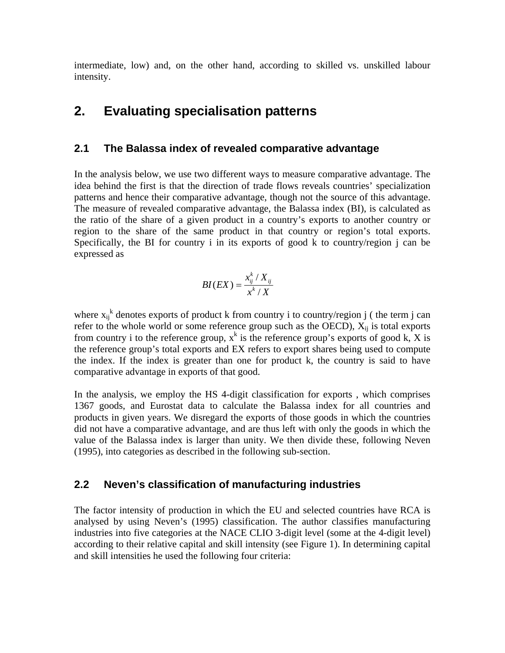intermediate, low) and, on the other hand, according to skilled vs. unskilled labour intensity.

# **2. Evaluating specialisation patterns**

## **2.1 The Balassa index of revealed comparative advantage**

In the analysis below, we use two different ways to measure comparative advantage. The idea behind the first is that the direction of trade flows reveals countries' specialization patterns and hence their comparative advantage, though not the source of this advantage. The measure of revealed comparative advantage, the Balassa index (BI), is calculated as the ratio of the share of a given product in a country's exports to another country or region to the share of the same product in that country or region's total exports. Specifically, the BI for country i in its exports of good k to country/region j can be expressed as

$$
BI(EX) = \frac{x_{ij}^k / X_{ij}}{x^k / X}
$$

where  $x_{ij}^k$  denotes exports of product k from country i to country/region j (the term j can refer to the whole world or some reference group such as the OECD),  $X_{ii}$  is total exports from country i to the reference group,  $x^k$  is the reference group's exports of good k, X is the reference group's total exports and EX refers to export shares being used to compute the index. If the index is greater than one for product k, the country is said to have comparative advantage in exports of that good.

In the analysis, we employ the HS 4-digit classification for exports , which comprises 1367 goods, and Eurostat data to calculate the Balassa index for all countries and products in given years. We disregard the exports of those goods in which the countries did not have a comparative advantage, and are thus left with only the goods in which the value of the Balassa index is larger than unity. We then divide these, following Neven (1995), into categories as described in the following sub-section.

## **2.2 Neven's classification of manufacturing industries**

The factor intensity of production in which the EU and selected countries have RCA is analysed by using Neven's (1995) classification. The author classifies manufacturing industries into five categories at the NACE CLIO 3-digit level (some at the 4-digit level) according to their relative capital and skill intensity (see Figure 1). In determining capital and skill intensities he used the following four criteria: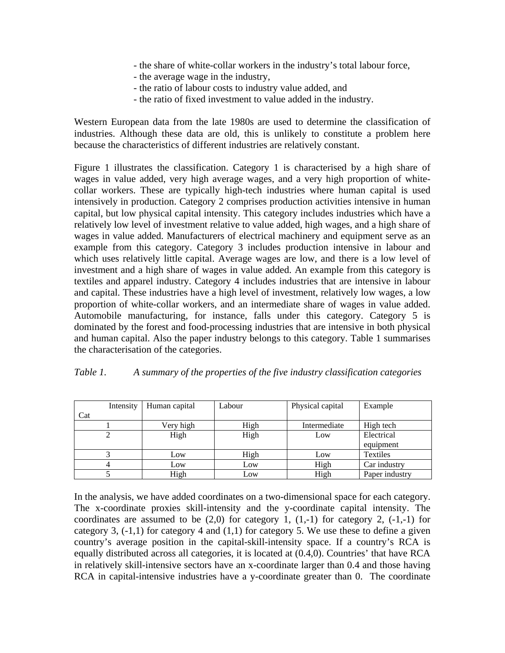- the share of white-collar workers in the industry's total labour force,
- the average wage in the industry,
- the ratio of labour costs to industry value added, and
- the ratio of fixed investment to value added in the industry.

Western European data from the late 1980s are used to determine the classification of industries. Although these data are old, this is unlikely to constitute a problem here because the characteristics of different industries are relatively constant.

Figure 1 illustrates the classification. Category 1 is characterised by a high share of wages in value added, very high average wages, and a very high proportion of whitecollar workers. These are typically high-tech industries where human capital is used intensively in production. Category 2 comprises production activities intensive in human capital, but low physical capital intensity. This category includes industries which have a relatively low level of investment relative to value added, high wages, and a high share of wages in value added. Manufacturers of electrical machinery and equipment serve as an example from this category. Category 3 includes production intensive in labour and which uses relatively little capital. Average wages are low, and there is a low level of investment and a high share of wages in value added. An example from this category is textiles and apparel industry. Category 4 includes industries that are intensive in labour and capital. These industries have a high level of investment, relatively low wages, a low proportion of white-collar workers, and an intermediate share of wages in value added. Automobile manufacturing, for instance, falls under this category. Category 5 is dominated by the forest and food-processing industries that are intensive in both physical and human capital. Also the paper industry belongs to this category. Table 1 summarises the characterisation of the categories.

| Table 1. | A summary of the properties of the five industry classification categories |  |  |  |
|----------|----------------------------------------------------------------------------|--|--|--|
|          |                                                                            |  |  |  |

|     | Intensity | Human capital | Labour | Physical capital | Example        |  |
|-----|-----------|---------------|--------|------------------|----------------|--|
| Cat |           |               |        |                  |                |  |
|     |           | Very high     | High   | Intermediate     | High tech      |  |
|     |           | High          | High   | Low              | Electrical     |  |
|     |           |               |        |                  | equipment      |  |
|     |           | Low           | High   | Low              | Textiles       |  |
|     |           | Low           | Low    | High             | Car industry   |  |
|     |           | High          | Low    | High             | Paper industry |  |

In the analysis, we have added coordinates on a two-dimensional space for each category. The x-coordinate proxies skill-intensity and the y-coordinate capital intensity. The coordinates are assumed to be  $(2,0)$  for category 1,  $(1,-1)$  for category 2,  $(-1,-1)$  for category 3,  $(-1,1)$  for category 4 and  $(1,1)$  for category 5. We use these to define a given country's average position in the capital-skill-intensity space. If a country's RCA is equally distributed across all categories, it is located at (0.4,0). Countries' that have RCA in relatively skill-intensive sectors have an x-coordinate larger than 0.4 and those having RCA in capital-intensive industries have a y-coordinate greater than 0. The coordinate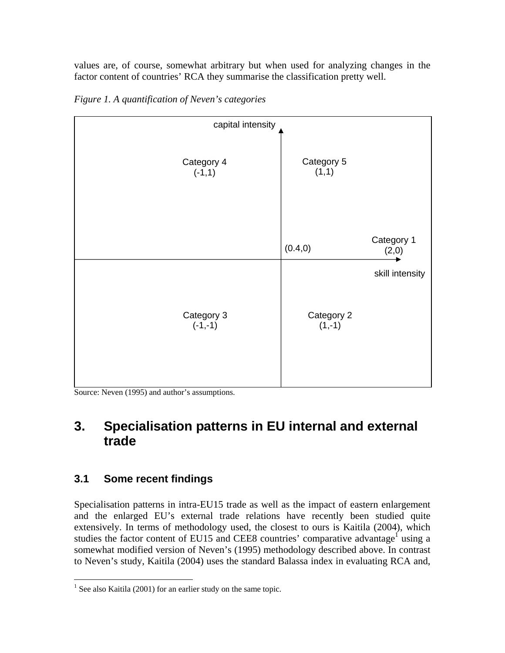values are, of course, somewhat arbitrary but when used for analyzing changes in the factor content of countries' RCA they summarise the classification pretty well.



*Figure 1. A quantification of Neven's categories* 

Source: Neven (1995) and author's assumptions.

# **3. Specialisation patterns in EU internal and external trade**

# **3.1 Some recent findings**

Specialisation patterns in intra-EU15 trade as well as the impact of eastern enlargement and the enlarged EU's external trade relations have recently been studied quite extensively. In terms of methodology used, the closest to ours is Kaitila (2004), which studies the factor content of EU15 and CEE8 countries' comparative advantage<sup>1</sup> using a somewhat modified version of Neven's (1995) methodology described above. In contrast to Neven's study, Kaitila (2004) uses the standard Balassa index in evaluating RCA and,

<span id="page-5-0"></span> $\overline{a}$ <sup>1</sup> See also Kaitila (2001) for an earlier study on the same topic.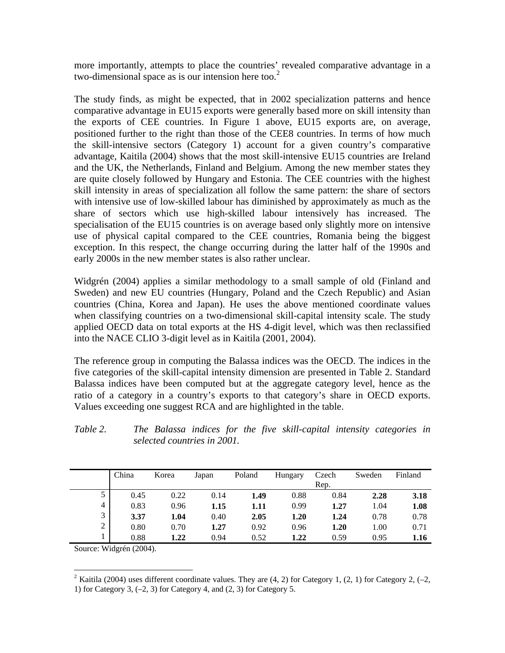more importantly, attempts to place the countries' revealed comparative advantage in a two-dimensional space as is our intension here too. $2$ 

The study finds, as might be expected, that in 2002 specialization patterns and hence comparative advantage in EU15 exports were generally based more on skill intensity than the exports of CEE countries. In Figure 1 above, EU15 exports are, on average, positioned further to the right than those of the CEE8 countries. In terms of how much the skill-intensive sectors (Category 1) account for a given country's comparative advantage, Kaitila (2004) shows that the most skill-intensive EU15 countries are Ireland and the UK, the Netherlands, Finland and Belgium. Among the new member states they are quite closely followed by Hungary and Estonia. The CEE countries with the highest skill intensity in areas of specialization all follow the same pattern: the share of sectors with intensive use of low-skilled labour has diminished by approximately as much as the share of sectors which use high-skilled labour intensively has increased. The specialisation of the EU15 countries is on average based only slightly more on intensive use of physical capital compared to the CEE countries, Romania being the biggest exception. In this respect, the change occurring during the latter half of the 1990s and early 2000s in the new member states is also rather unclear.

Widgrén (2004) applies a similar methodology to a small sample of old (Finland and Sweden) and new EU countries (Hungary, Poland and the Czech Republic) and Asian countries (China, Korea and Japan). He uses the above mentioned coordinate values when classifying countries on a two-dimensional skill-capital intensity scale. The study applied OECD data on total exports at the HS 4-digit level, which was then reclassified into the NACE CLIO 3-digit level as in Kaitila (2001, 2004).

The reference group in computing the Balassa indices was the OECD. The indices in the five categories of the skill-capital intensity dimension are presented in Table 2. Standard Balassa indices have been computed but at the aggregate category level, hence as the ratio of a category in a country's exports to that category's share in OECD exports. Values exceeding one suggest RCA and are highlighted in the table.

| Table 2. |                             |  |  | The Balassa indices for the five skill-capital intensity categories in |  |  |
|----------|-----------------------------|--|--|------------------------------------------------------------------------|--|--|
|          | selected countries in 2001. |  |  |                                                                        |  |  |

|                | China | Korea | Japan | Poland | Hungary | Czech | Sweden | Finland |
|----------------|-------|-------|-------|--------|---------|-------|--------|---------|
|                |       |       |       |        |         | Rep.  |        |         |
|                | 0.45  | 0.22  | 0.14  | 1.49   | 0.88    | 0.84  | 2.28   | 3.18    |
| $\overline{4}$ | 0.83  | 0.96  | 1.15  | 1.11   | 0.99    | 1.27  | 1.04   | 1.08    |
| 3              | 3.37  | 1.04  | 0.40  | 2.05   | 1.20    | 1.24  | 0.78   | 0.78    |
| 2              | 0.80  | 0.70  | 1.27  | 0.92   | 0.96    | 1.20  | 1.00   | 0.71    |
|                | 0.88  | 1.22  | 0.94  | 0.52   | 1.22    | 0.59  | 0.95   | 1.16    |

Source: Widgrén (2004).

<span id="page-6-0"></span><sup>2</sup> Kaitila (2004) uses different coordinate values. They are (4, 2) for Category 1, (2, 1) for Category 2, (-2,

<sup>1)</sup> for Category 3,  $(-2, 3)$  for Category 4, and  $(2, 3)$  for Category 5.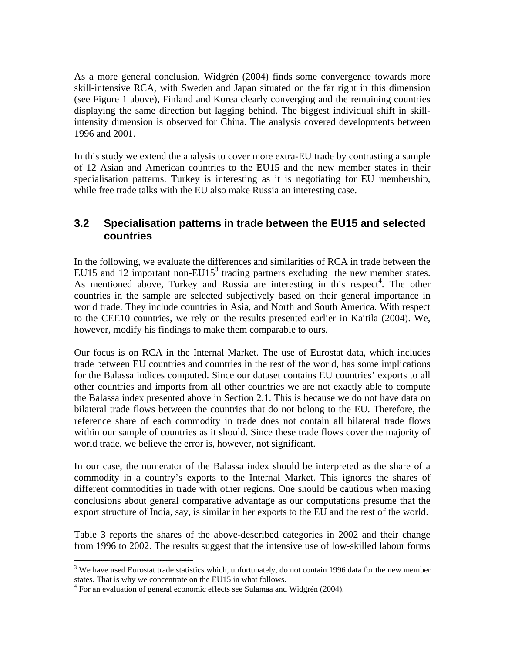As a more general conclusion, Widgrén (2004) finds some convergence towards more skill-intensive RCA, with Sweden and Japan situated on the far right in this dimension (see Figure 1 above), Finland and Korea clearly converging and the remaining countries displaying the same direction but lagging behind. The biggest individual shift in skillintensity dimension is observed for China. The analysis covered developments between 1996 and 2001.

In this study we extend the analysis to cover more extra-EU trade by contrasting a sample of 12 Asian and American countries to the EU15 and the new member states in their specialisation patterns. Turkey is interesting as it is negotiating for EU membership, while free trade talks with the EU also make Russia an interesting case.

## **3.2 Specialisation patterns in trade between the EU15 and selected countries**

In the following, we evaluate the differences and similarities of RCA in trade between the EU15 and 12 important non-EU15<sup>[3](#page-7-0)</sup> trading partners excluding the new member states. As mentioned above, Turkey and Russia are interesting in this respect<sup>[4](#page-7-1)</sup>. The other countries in the sample are selected subjectively based on their general importance in world trade. They include countries in Asia, and North and South America. With respect to the CEE10 countries, we rely on the results presented earlier in Kaitila (2004). We, however, modify his findings to make them comparable to ours.

Our focus is on RCA in the Internal Market. The use of Eurostat data, which includes trade between EU countries and countries in the rest of the world, has some implications for the Balassa indices computed. Since our dataset contains EU countries' exports to all other countries and imports from all other countries we are not exactly able to compute the Balassa index presented above in Section 2.1. This is because we do not have data on bilateral trade flows between the countries that do not belong to the EU. Therefore, the reference share of each commodity in trade does not contain all bilateral trade flows within our sample of countries as it should. Since these trade flows cover the majority of world trade, we believe the error is, however, not significant.

In our case, the numerator of the Balassa index should be interpreted as the share of a commodity in a country's exports to the Internal Market. This ignores the shares of different commodities in trade with other regions. One should be cautious when making conclusions about general comparative advantage as our computations presume that the export structure of India, say, is similar in her exports to the EU and the rest of the world.

Table 3 reports the shares of the above-described categories in 2002 and their change from 1996 to 2002. The results suggest that the intensive use of low-skilled labour forms

<span id="page-7-0"></span> $\overline{a}$ <sup>3</sup> We have used Eurostat trade statistics which, unfortunately, do not contain 1996 data for the new member states. That is why we concentrate on the EU15 in what follows. 4

<span id="page-7-1"></span> $4$  For an evaluation of general economic effects see Sulamaa and Widgrén (2004).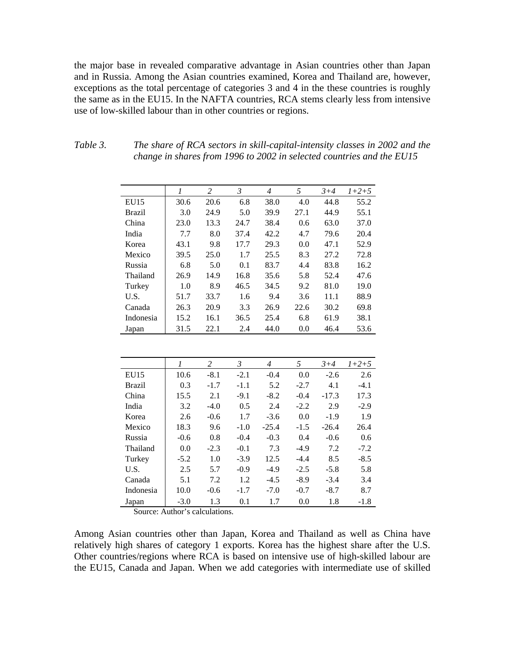the major base in revealed comparative advantage in Asian countries other than Japan and in Russia. Among the Asian countries examined, Korea and Thailand are, however, exceptions as the total percentage of categories 3 and 4 in the these countries is roughly the same as in the EU15. In the NAFTA countries, RCA stems clearly less from intensive use of low-skilled labour than in other countries or regions.

|               |      | 2    | 3    | $\overline{4}$ | 5    | $3 + 4$ | $1+2+5$ |
|---------------|------|------|------|----------------|------|---------|---------|
| <b>EU15</b>   | 30.6 | 20.6 | 6.8  | 38.0           | 4.0  | 44.8    | 55.2    |
| <b>Brazil</b> | 3.0  | 24.9 | 5.0  | 39.9           | 27.1 | 44.9    | 55.1    |
| China         | 23.0 | 13.3 | 24.7 | 38.4           | 0.6  | 63.0    | 37.0    |
| India         | 7.7  | 8.0  | 37.4 | 42.2           | 4.7  | 79.6    | 20.4    |
| Korea         | 43.1 | 9.8  | 17.7 | 29.3           | 0.0  | 47.1    | 52.9    |
| Mexico        | 39.5 | 25.0 | 1.7  | 25.5           | 8.3  | 27.2    | 72.8    |
| Russia        | 6.8  | 5.0  | 0.1  | 83.7           | 4.4  | 83.8    | 16.2    |
| Thailand      | 26.9 | 14.9 | 16.8 | 35.6           | 5.8  | 52.4    | 47.6    |
| Turkey        | 1.0  | 8.9  | 46.5 | 34.5           | 9.2  | 81.0    | 19.0    |
| U.S.          | 51.7 | 33.7 | 1.6  | 9.4            | 3.6  | 11.1    | 88.9    |
| Canada        | 26.3 | 20.9 | 3.3  | 26.9           | 22.6 | 30.2    | 69.8    |
| Indonesia     | 15.2 | 16.1 | 36.5 | 25.4           | 6.8  | 61.9    | 38.1    |
| Japan         | 31.5 | 22.1 | 2.4  | 44.0           | 0.0  | 46.4    | 53.6    |

| Table 3. | The share of RCA sectors in skill-capital-intensity classes in 2002 and the |
|----------|-----------------------------------------------------------------------------|
|          | change in shares from 1996 to 2002 in selected countries and the EU15       |

|               | 1      | 2      | 3      | 4       | 5      | $3 + 4$ | $1+2+5$ |
|---------------|--------|--------|--------|---------|--------|---------|---------|
| EU15          | 10.6   | $-8.1$ | $-2.1$ | $-0.4$  | 0.0    | $-2.6$  | 2.6     |
| <b>Brazil</b> | 0.3    | $-1.7$ | $-1.1$ | 5.2     | $-2.7$ | 4.1     | $-4.1$  |
| China         | 15.5   | 2.1    | $-9.1$ | $-8.2$  | $-0.4$ | $-17.3$ | 17.3    |
| India         | 3.2    | $-4.0$ | 0.5    | 2.4     | $-2.2$ | 2.9     | $-2.9$  |
| Korea         | 2.6    | $-0.6$ | 1.7    | $-3.6$  | 0.0    | $-1.9$  | 1.9     |
| Mexico        | 18.3   | 9.6    | $-1.0$ | $-25.4$ | $-1.5$ | $-26.4$ | 26.4    |
| Russia        | $-0.6$ | 0.8    | $-0.4$ | $-0.3$  | 0.4    | $-0.6$  | 0.6     |
| Thailand      | 0.0    | $-2.3$ | $-0.1$ | 7.3     | $-4.9$ | 7.2     | $-7.2$  |
| Turkey        | $-5.2$ | 1.0    | $-3.9$ | 12.5    | $-4.4$ | 8.5     | $-8.5$  |
| U.S.          | 2.5    | 5.7    | $-0.9$ | $-4.9$  | $-2.5$ | $-5.8$  | 5.8     |
| Canada        | 5.1    | 7.2    | 1.2    | $-4.5$  | $-8.9$ | $-3.4$  | 3.4     |
| Indonesia     | 10.0   | $-0.6$ | $-1.7$ | $-7.0$  | $-0.7$ | $-8.7$  | 8.7     |
| Japan         | $-3.0$ | 1.3    | 0.1    | 1.7     | 0.0    | 1.8     | $-1.8$  |

Source: Author's calculations.

Among Asian countries other than Japan, Korea and Thailand as well as China have relatively high shares of category 1 exports. Korea has the highest share after the U.S. Other countries/regions where RCA is based on intensive use of high-skilled labour are the EU15, Canada and Japan. When we add categories with intermediate use of skilled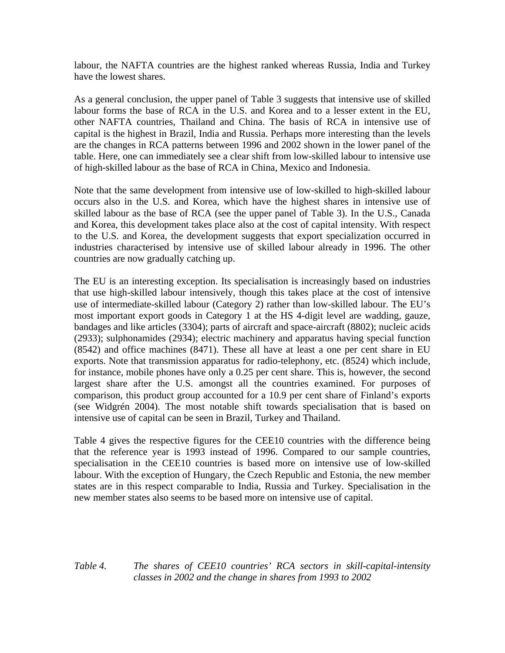labour, the NAFTA countries are the highest ranked whereas Russia, India and Turkey have the lowest shares.

As a general conclusion, the upper panel of Table 3 suggests that intensive use of skilled labour forms the base of RCA in the U.S. and Korea and to a lesser extent in the EU, other NAFTA countries, Thailand and China. The basis of RCA in intensive use of capital is the highest in Brazil, India and Russia. Perhaps more interesting than the levels are the changes in RCA patterns between 1996 and 2002 shown in the lower panel of the table. Here, one can immediately see a clear shift from low-skilled labour to intensive use of high-skilled labour as the base of RCA in China, Mexico and Indonesia.

Note that the same development from intensive use of low-skilled to high-skilled labour occurs also in the U.S. and Korea, which have the highest shares in intensive use of skilled labour as the base of RCA (see the upper panel of Table 3). In the U.S., Canada and Korea, this development takes place also at the cost of capital intensity. With respect to the U.S. and Korea, the development suggests that export specialization occurred in industries characterised by intensive use of skilled labour already in 1996. The other countries are now gradually catching up.

The EU is an interesting exception. Its specialisation is increasingly based on industries that use high-skilled labour intensively, though this takes place at the cost of intensive use of intermediate-skilled labour (Category 2) rather than low-skilled labour. The EU's most important export goods in Category 1 at the HS 4-digit level are wadding, gauze, bandages and like articles (3304); parts of aircraft and space-aircraft (8802); nucleic acids (2933); sulphonamides (2934); electric machinery and apparatus having special function (8542) and office machines (8471). These all have at least a one per cent share in EU exports. Note that transmission apparatus for radio-telephony, etc. (8524) which include, for instance, mobile phones have only a 0.25 per cent share. This is, however, the second largest share after the U.S. amongst all the countries examined. For purposes of comparison, this product group accounted for a 10.9 per cent share of Finland's exports (see Widgrén 2004). The most notable shift towards specialisation that is based on intensive use of capital can be seen in Brazil, Turkey and Thailand.

Table 4 gives the respective figures for the CEE10 countries with the difference being that the reference year is 1993 instead of 1996. Compared to our sample countries, specialisation in the CEE10 countries is based more on intensive use of low-skilled labour. With the exception of Hungary, the Czech Republic and Estonia, the new member states are in this respect comparable to India, Russia and Turkey. Specialisation in the new member states also seems to be based more on intensive use of capital.

### *Table 4. The shares of CEE10 countries' RCA sectors in skill-capital-intensity classes in 2002 and the change in shares from 1993 to 2002*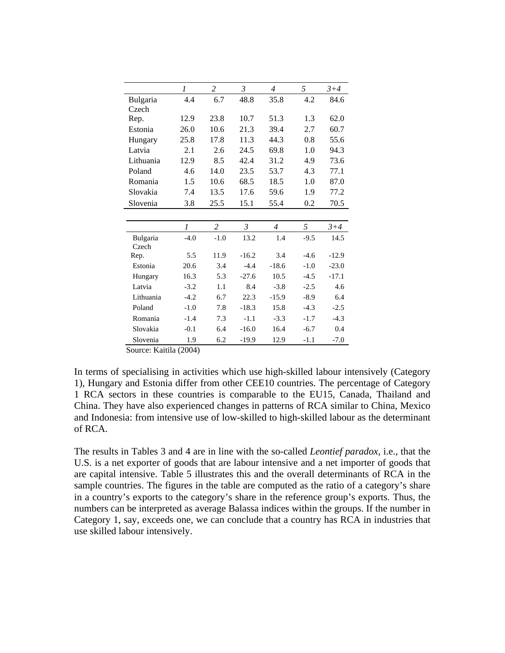|           | 1      | $\overline{c}$ | $\mathfrak{Z}$ | $\overline{4}$ | 5      | $3 + 4$ |
|-----------|--------|----------------|----------------|----------------|--------|---------|
| Bulgaria  | 4.4    | 6.7            | 48.8           | 35.8           | 4.2    | 84.6    |
| Czech     |        |                |                |                |        |         |
| Rep.      | 12.9   | 23.8           | 10.7           | 51.3           | 1.3    | 62.0    |
| Estonia   | 26.0   | 10.6           | 21.3           | 39.4           | 2.7    | 60.7    |
| Hungary   | 25.8   | 17.8           | 11.3           | 44.3           | 0.8    | 55.6    |
| Latvia    | 2.1    | 2.6            | 24.5           | 69.8           | 1.0    | 94.3    |
| Lithuania | 12.9   | 8.5            | 42.4           | 31.2           | 4.9    | 73.6    |
| Poland    | 4.6    | 14.0           | 23.5           | 53.7           | 4.3    | 77.1    |
| Romania   | 1.5    | 10.6           | 68.5           | 18.5           | 1.0    | 87.0    |
| Slovakia  | 7.4    | 13.5           | 17.6           | 59.6           | 1.9    | 77.2    |
| Slovenia  | 3.8    | 25.5           | 15.1           | 55.4           | 0.2    | 70.5    |
|           |        |                |                |                |        |         |
|           | 1      | $\overline{c}$ | $\mathfrak{Z}$ | $\overline{4}$ | 5      | $3 + 4$ |
| Bulgaria  | $-4.0$ | $-1.0$         | 13.2           | 1.4            | $-9.5$ | 14.5    |
| Czech     |        |                |                |                |        |         |
| Rep.      | 5.5    | 11.9           | $-16.2$        | 3.4            | $-4.6$ | $-12.9$ |
| Estonia   | 20.6   | 3.4            | $-4.4$         | $-18.6$        | $-1.0$ | $-23.0$ |
| Hungary   | 16.3   | 5.3            | $-27.6$        | 10.5           | $-4.5$ | $-17.1$ |
| Latvia    | $-3.2$ | 1.1            | 8.4            | $-3.8$         | $-2.5$ | 4.6     |
| Lithuania | $-4.2$ | 6.7            | 22.3           | $-15.9$        | $-8.9$ | 6.4     |
| Poland    | $-1.0$ | 7.8            | $-18.3$        | 15.8           | $-4.3$ | $-2.5$  |
| Romania   | $-1.4$ | 7.3            | $-1.1$         | $-3.3$         | $-1.7$ | $-4.3$  |
| Slovakia  | $-0.1$ | 6.4            | $-16.0$        | 16.4           | $-6.7$ | 0.4     |
| Slovenia  | 1.9    | 6.2            | $-19.9$        | 12.9           | $-1.1$ | $-7.0$  |

Source: Kaitila (2004)

In terms of specialising in activities which use high-skilled labour intensively (Category 1), Hungary and Estonia differ from other CEE10 countries. The percentage of Category 1 RCA sectors in these countries is comparable to the EU15, Canada, Thailand and China. They have also experienced changes in patterns of RCA similar to China, Mexico and Indonesia: from intensive use of low-skilled to high-skilled labour as the determinant of RCA.

The results in Tables 3 and 4 are in line with the so-called *Leontief paradox*, i.e., that the U.S. is a net exporter of goods that are labour intensive and a net importer of goods that are capital intensive. Table 5 illustrates this and the overall determinants of RCA in the sample countries. The figures in the table are computed as the ratio of a category's share in a country's exports to the category's share in the reference group's exports. Thus, the numbers can be interpreted as average Balassa indices within the groups. If the number in Category 1, say, exceeds one, we can conclude that a country has RCA in industries that use skilled labour intensively.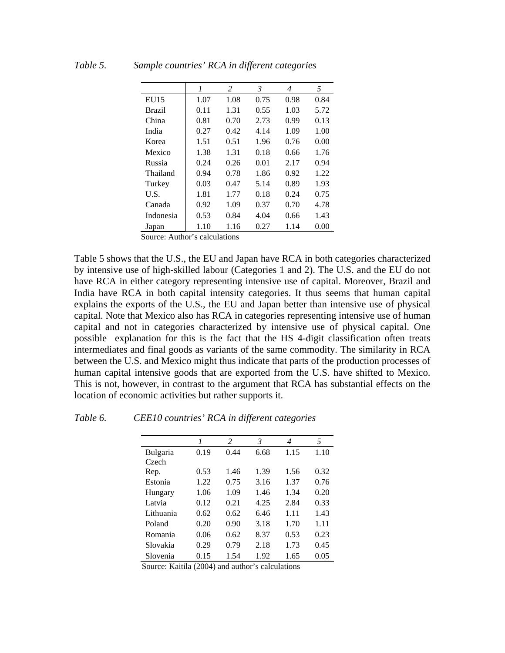|             | $\boldsymbol{l}$ | 2    | 3    | 4    | 5    |
|-------------|------------------|------|------|------|------|
| <b>EU15</b> | 1.07             | 1.08 | 0.75 | 0.98 | 0.84 |
| Brazil      | 0.11             | 1.31 | 0.55 | 1.03 | 5.72 |
| China       | 0.81             | 0.70 | 2.73 | 0.99 | 0.13 |
| India       | 0.27             | 0.42 | 4.14 | 1.09 | 1.00 |
| Korea       | 1.51             | 0.51 | 1.96 | 0.76 | 0.00 |
| Mexico      | 1.38             | 1.31 | 0.18 | 0.66 | 1.76 |
| Russia      | 0.24             | 0.26 | 0.01 | 2.17 | 0.94 |
| Thailand    | 0.94             | 0.78 | 1.86 | 0.92 | 1.22 |
| Turkey      | 0.03             | 0.47 | 5.14 | 0.89 | 1.93 |
| U.S.        | 1.81             | 1.77 | 0.18 | 0.24 | 0.75 |
| Canada      | 0.92             | 1.09 | 0.37 | 0.70 | 4.78 |
| Indonesia   | 0.53             | 0.84 | 4.04 | 0.66 | 1.43 |
| Japan       | 1.10             | 1.16 | 0.27 | 1.14 | 0.00 |

### *Table 5. Sample countries' RCA in different categories*

Source: Author's calculations

Table 5 shows that the U.S., the EU and Japan have RCA in both categories characterized by intensive use of high-skilled labour (Categories 1 and 2). The U.S. and the EU do not have RCA in either category representing intensive use of capital. Moreover, Brazil and India have RCA in both capital intensity categories. It thus seems that human capital explains the exports of the U.S., the EU and Japan better than intensive use of physical capital. Note that Mexico also has RCA in categories representing intensive use of human capital and not in categories characterized by intensive use of physical capital. One possible explanation for this is the fact that the HS 4-digit classification often treats intermediates and final goods as variants of the same commodity. The similarity in RCA between the U.S. and Mexico might thus indicate that parts of the production processes of human capital intensive goods that are exported from the U.S. have shifted to Mexico. This is not, however, in contrast to the argument that RCA has substantial effects on the location of economic activities but rather supports it.

### *Table 6. CEE10 countries' RCA in different categories*

|           | 1    | 2    | 3    | 4    | 5    |
|-----------|------|------|------|------|------|
| Bulgaria  | 0.19 | 0.44 | 6.68 | 1.15 | 1.10 |
| Czech     |      |      |      |      |      |
| Rep.      | 0.53 | 1.46 | 1.39 | 1.56 | 0.32 |
| Estonia   | 1.22 | 0.75 | 3.16 | 1.37 | 0.76 |
| Hungary   | 1.06 | 1.09 | 1.46 | 1.34 | 0.20 |
| Latvia    | 0.12 | 0.21 | 4.25 | 2.84 | 0.33 |
| Lithuania | 0.62 | 0.62 | 6.46 | 1.11 | 1.43 |
| Poland    | 0.20 | 0.90 | 3.18 | 1.70 | 1.11 |
| Romania   | 0.06 | 0.62 | 8.37 | 0.53 | 0.23 |
| Slovakia  | 0.29 | 0.79 | 2.18 | 1.73 | 0.45 |
| Slovenia  | 0.15 | 1.54 | 1.92 | 1.65 | 0.05 |

Source: Kaitila (2004) and author's calculations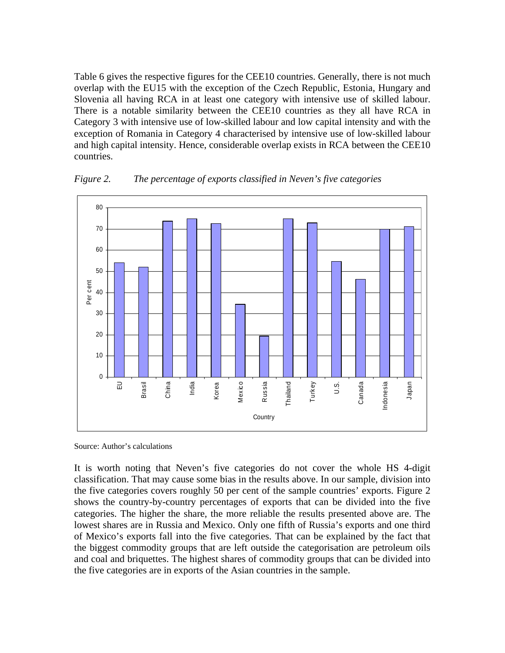Table 6 gives the respective figures for the CEE10 countries. Generally, there is not much overlap with the EU15 with the exception of the Czech Republic, Estonia, Hungary and Slovenia all having RCA in at least one category with intensive use of skilled labour. There is a notable similarity between the CEE10 countries as they all have RCA in Category 3 with intensive use of low-skilled labour and low capital intensity and with the exception of Romania in Category 4 characterised by intensive use of low-skilled labour and high capital intensity. Hence, considerable overlap exists in RCA between the CEE10 countries.



*Figure 2. The percentage of exports classified in Neven's five categories* 

Source: Author's calculations

It is worth noting that Neven's five categories do not cover the whole HS 4-digit classification. That may cause some bias in the results above. In our sample, division into the five categories covers roughly 50 per cent of the sample countries' exports. Figure 2 shows the country-by-country percentages of exports that can be divided into the five categories. The higher the share, the more reliable the results presented above are. The lowest shares are in Russia and Mexico. Only one fifth of Russia's exports and one third of Mexico's exports fall into the five categories. That can be explained by the fact that the biggest commodity groups that are left outside the categorisation are petroleum oils and coal and briquettes. The highest shares of commodity groups that can be divided into the five categories are in exports of the Asian countries in the sample.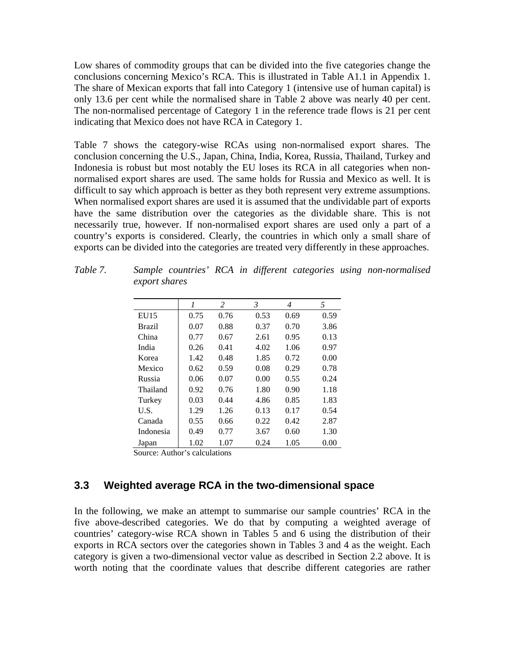Low shares of commodity groups that can be divided into the five categories change the conclusions concerning Mexico's RCA. This is illustrated in Table A1.1 in Appendix 1. The share of Mexican exports that fall into Category 1 (intensive use of human capital) is only 13.6 per cent while the normalised share in Table 2 above was nearly 40 per cent. The non-normalised percentage of Category 1 in the reference trade flows is 21 per cent indicating that Mexico does not have RCA in Category 1.

Table 7 shows the category-wise RCAs using non-normalised export shares. The conclusion concerning the U.S., Japan, China, India, Korea, Russia, Thailand, Turkey and Indonesia is robust but most notably the EU loses its RCA in all categories when nonnormalised export shares are used. The same holds for Russia and Mexico as well. It is difficult to say which approach is better as they both represent very extreme assumptions. When normalised export shares are used it is assumed that the undividable part of exports have the same distribution over the categories as the dividable share. This is not necessarily true, however. If non-normalised export shares are used only a part of a country's exports is considered. Clearly, the countries in which only a small share of exports can be divided into the categories are treated very differently in these approaches.

|           | 1    | 2    | 3    | 4    | 5    |
|-----------|------|------|------|------|------|
| EU15      | 0.75 | 0.76 | 0.53 | 0.69 | 0.59 |
| Brazil    | 0.07 | 0.88 | 0.37 | 0.70 | 3.86 |
| China     | 0.77 | 0.67 | 2.61 | 0.95 | 0.13 |
| India     | 0.26 | 0.41 | 4.02 | 1.06 | 0.97 |
| Korea     | 1.42 | 0.48 | 1.85 | 0.72 | 0.00 |
| Mexico    | 0.62 | 0.59 | 0.08 | 0.29 | 0.78 |
| Russia    | 0.06 | 0.07 | 0.00 | 0.55 | 0.24 |
| Thailand  | 0.92 | 0.76 | 1.80 | 0.90 | 1.18 |
| Turkey    | 0.03 | 0.44 | 4.86 | 0.85 | 1.83 |
| U.S.      | 1.29 | 1.26 | 0.13 | 0.17 | 0.54 |
| Canada    | 0.55 | 0.66 | 0.22 | 0.42 | 2.87 |
| Indonesia | 0.49 | 0.77 | 3.67 | 0.60 | 1.30 |
| Japan     | 1.02 | 1.07 | 0.24 | 1.05 | 0.00 |

*Table 7. Sample countries' RCA in different categories using non-normalised export shares* 

Source: Author's calculations

### **3.3 Weighted average RCA in the two-dimensional space**

In the following, we make an attempt to summarise our sample countries' RCA in the five above-described categories. We do that by computing a weighted average of countries' category-wise RCA shown in Tables 5 and 6 using the distribution of their exports in RCA sectors over the categories shown in Tables 3 and 4 as the weight. Each category is given a two-dimensional vector value as described in Section 2.2 above. It is worth noting that the coordinate values that describe different categories are rather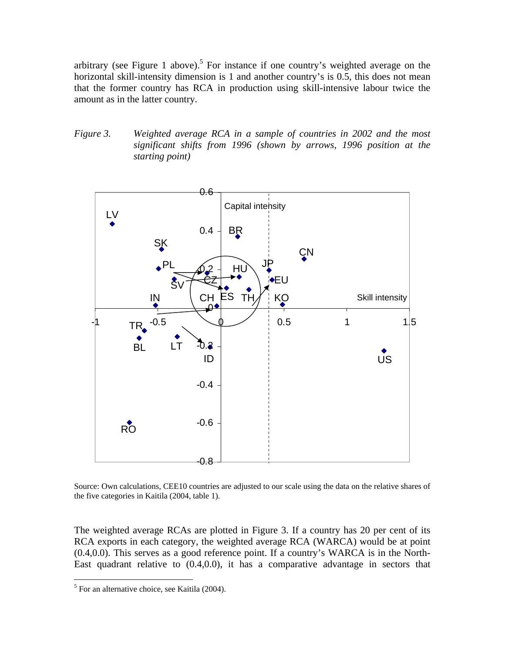arbitrary (see Figure 1 above).<sup>5</sup> For instance if one country's weighted average on the horizontal skill-intensity dimension is 1 and another country's is 0.5, this does not mean that the former country has RCA in production using skill-intensive labour twice the amount as in the latter country.

*Figure 3. Weighted average RCA in a sample of countries in 2002 and the most significant shifts from 1996 (shown by arrows, 1996 position at the starting point)*



Source: Own calculations, CEE10 countries are adjusted to our scale using the data on the relative shares of the five categories in Kaitila (2004, table 1).

The weighted average RCAs are plotted in Figure 3. If a country has 20 per cent of its RCA exports in each category, the weighted average RCA (WARCA) would be at point (0.4,0.0). This serves as a good reference point. If a country's WARCA is in the North-East quadrant relative to (0.4,0.0), it has a comparative advantage in sectors that

<span id="page-14-0"></span> 5 For an alternative choice, see Kaitila (2004).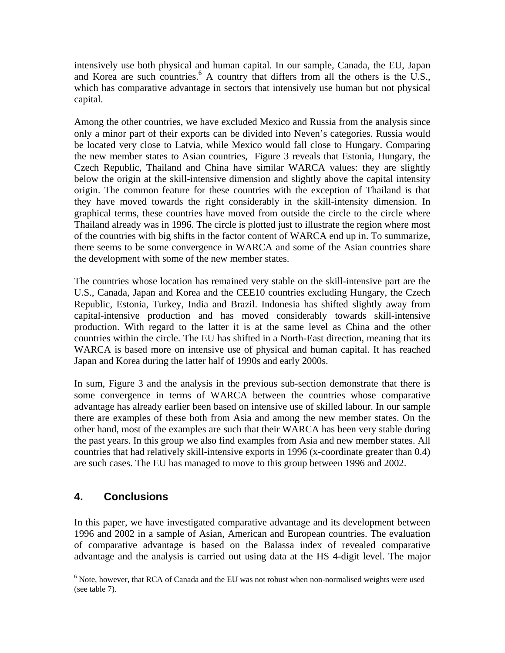intensively use both physical and human capital. In our sample, Canada, the EU, Japan and Korea are such countries.<sup>[6](#page-15-0)</sup> A country that differs from all the others is the U.S., which has comparative advantage in sectors that intensively use human but not physical capital.

Among the other countries, we have excluded Mexico and Russia from the analysis since only a minor part of their exports can be divided into Neven's categories. Russia would be located very close to Latvia, while Mexico would fall close to Hungary. Comparing the new member states to Asian countries, Figure 3 reveals that Estonia, Hungary, the Czech Republic, Thailand and China have similar WARCA values: they are slightly below the origin at the skill-intensive dimension and slightly above the capital intensity origin. The common feature for these countries with the exception of Thailand is that they have moved towards the right considerably in the skill-intensity dimension. In graphical terms, these countries have moved from outside the circle to the circle where Thailand already was in 1996. The circle is plotted just to illustrate the region where most of the countries with big shifts in the factor content of WARCA end up in. To summarize, there seems to be some convergence in WARCA and some of the Asian countries share the development with some of the new member states.

The countries whose location has remained very stable on the skill-intensive part are the U.S., Canada, Japan and Korea and the CEE10 countries excluding Hungary, the Czech Republic, Estonia, Turkey, India and Brazil. Indonesia has shifted slightly away from capital-intensive production and has moved considerably towards skill-intensive production. With regard to the latter it is at the same level as China and the other countries within the circle. The EU has shifted in a North-East direction, meaning that its WARCA is based more on intensive use of physical and human capital. It has reached Japan and Korea during the latter half of 1990s and early 2000s.

In sum, Figure 3 and the analysis in the previous sub-section demonstrate that there is some convergence in terms of WARCA between the countries whose comparative advantage has already earlier been based on intensive use of skilled labour. In our sample there are examples of these both from Asia and among the new member states. On the other hand, most of the examples are such that their WARCA has been very stable during the past years. In this group we also find examples from Asia and new member states. All countries that had relatively skill-intensive exports in 1996 (x-coordinate greater than 0.4) are such cases. The EU has managed to move to this group between 1996 and 2002.

# **4. Conclusions**

 $\overline{a}$ 

In this paper, we have investigated comparative advantage and its development between 1996 and 2002 in a sample of Asian, American and European countries. The evaluation of comparative advantage is based on the Balassa index of revealed comparative advantage and the analysis is carried out using data at the HS 4-digit level. The major

<span id="page-15-0"></span> $6$  Note, however, that RCA of Canada and the EU was not robust when non-normalised weights were used (see table 7).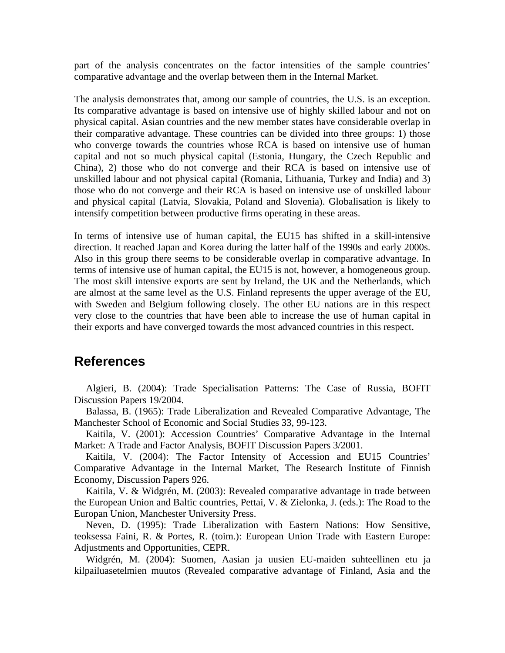part of the analysis concentrates on the factor intensities of the sample countries' comparative advantage and the overlap between them in the Internal Market.

The analysis demonstrates that, among our sample of countries, the U.S. is an exception. Its comparative advantage is based on intensive use of highly skilled labour and not on physical capital. Asian countries and the new member states have considerable overlap in their comparative advantage. These countries can be divided into three groups: 1) those who converge towards the countries whose RCA is based on intensive use of human capital and not so much physical capital (Estonia, Hungary, the Czech Republic and China), 2) those who do not converge and their RCA is based on intensive use of unskilled labour and not physical capital (Romania, Lithuania, Turkey and India) and 3) those who do not converge and their RCA is based on intensive use of unskilled labour and physical capital (Latvia, Slovakia, Poland and Slovenia). Globalisation is likely to intensify competition between productive firms operating in these areas.

In terms of intensive use of human capital, the EU15 has shifted in a skill-intensive direction. It reached Japan and Korea during the latter half of the 1990s and early 2000s. Also in this group there seems to be considerable overlap in comparative advantage. In terms of intensive use of human capital, the EU15 is not, however, a homogeneous group. The most skill intensive exports are sent by Ireland, the UK and the Netherlands, which are almost at the same level as the U.S. Finland represents the upper average of the EU, with Sweden and Belgium following closely. The other EU nations are in this respect very close to the countries that have been able to increase the use of human capital in their exports and have converged towards the most advanced countries in this respect.

## **References**

Algieri, B. (2004): Trade Specialisation Patterns: The Case of Russia, BOFIT Discussion Papers 19/2004.

Balassa, B. (1965): Trade Liberalization and Revealed Comparative Advantage, The Manchester School of Economic and Social Studies 33, 99-123.

Kaitila, V. (2001): Accession Countries' Comparative Advantage in the Internal Market: A Trade and Factor Analysis, BOFIT Discussion Papers 3/2001.

Kaitila, V. (2004): The Factor Intensity of Accession and EU15 Countries' Comparative Advantage in the Internal Market, The Research Institute of Finnish Economy, Discussion Papers 926.

Kaitila, V. & Widgrén, M. (2003): Revealed comparative advantage in trade between the European Union and Baltic countries, Pettai, V. & Zielonka, J. (eds.): The Road to the Europan Union, Manchester University Press.

Neven, D. (1995): Trade Liberalization with Eastern Nations: How Sensitive, teoksessa Faini, R. & Portes, R. (toim.): European Union Trade with Eastern Europe: Adjustments and Opportunities, CEPR.

Widgrén, M. (2004): Suomen, Aasian ja uusien EU-maiden suhteellinen etu ja kilpailuasetelmien muutos (Revealed comparative advantage of Finland, Asia and the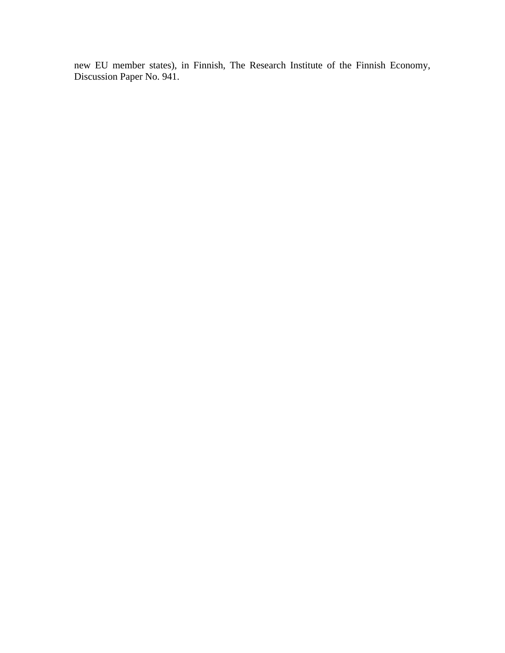new EU member states), in Finnish, The Research Institute of the Finnish Economy, Discussion Paper No. 941.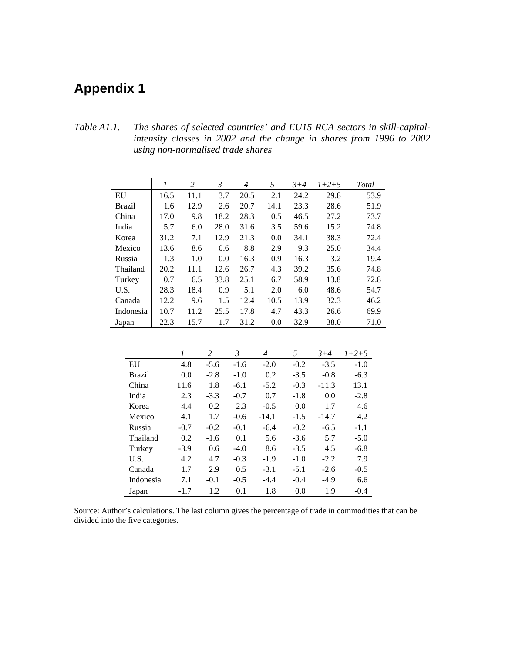# **Appendix 1**

*Table A1.1. The shares of selected countries' and EU15 RCA sectors in skill-capitalintensity classes in 2002 and the change in shares from 1996 to 2002 using non-normalised trade shares* 

|               | 1    | 2    | 3    | $\overline{4}$ | 5    | $3 + 4$ | $1+2+5$ | Total |
|---------------|------|------|------|----------------|------|---------|---------|-------|
| EU            | 16.5 | 11.1 | 3.7  | 20.5           | 2.1  | 24.2    | 29.8    | 53.9  |
| <b>Brazil</b> | 1.6  | 12.9 | 2.6  | 20.7           | 14.1 | 23.3    | 28.6    | 51.9  |
| China         | 17.0 | 9.8  | 18.2 | 28.3           | 0.5  | 46.5    | 27.2    | 73.7  |
| India         | 5.7  | 6.0  | 28.0 | 31.6           | 3.5  | 59.6    | 15.2    | 74.8  |
| Korea         | 31.2 | 7.1  | 12.9 | 21.3           | 0.0  | 34.1    | 38.3    | 72.4  |
| Mexico        | 13.6 | 8.6  | 0.6  | 8.8            | 2.9  | 9.3     | 25.0    | 34.4  |
| Russia        | 1.3  | 1.0  | 0.0  | 16.3           | 0.9  | 16.3    | 3.2     | 19.4  |
| Thailand      | 20.2 | 11.1 | 12.6 | 26.7           | 4.3  | 39.2    | 35.6    | 74.8  |
| Turkey        | 0.7  | 6.5  | 33.8 | 25.1           | 6.7  | 58.9    | 13.8    | 72.8  |
| U.S.          | 28.3 | 18.4 | 0.9  | 5.1            | 2.0  | 6.0     | 48.6    | 54.7  |
| Canada        | 12.2 | 9.6  | 1.5  | 12.4           | 10.5 | 13.9    | 32.3    | 46.2  |
| Indonesia     | 10.7 | 11.2 | 25.5 | 17.8           | 4.7  | 43.3    | 26.6    | 69.9  |
| Japan         | 22.3 | 15.7 | 1.7  | 31.2           | 0.0  | 32.9    | 38.0    | 71.0  |

|               |        | 2      | 3      | 4       | 5      | $3 + 4$ | $1+2+5$ |
|---------------|--------|--------|--------|---------|--------|---------|---------|
| EU            | 4.8    | $-5.6$ | $-1.6$ | $-2.0$  | $-0.2$ | $-3.5$  | $-1.0$  |
| <b>Brazil</b> | 0.0    | $-2.8$ | $-1.0$ | 0.2     | $-3.5$ | $-0.8$  | $-6.3$  |
| China         | 11.6   | 1.8    | $-6.1$ | $-5.2$  | $-0.3$ | $-11.3$ | 13.1    |
| India         | 2.3    | $-3.3$ | $-0.7$ | 0.7     | $-1.8$ | 0.0     | $-2.8$  |
| Korea         | 4.4    | 0.2    | 2.3    | $-0.5$  | 0.0    | 1.7     | 4.6     |
| Mexico        | 4.1    | 1.7    | $-0.6$ | $-14.1$ | $-1.5$ | $-14.7$ | 4.2     |
| Russia        | $-0.7$ | $-0.2$ | $-0.1$ | $-6.4$  | $-0.2$ | $-6.5$  | $-1.1$  |
| Thailand      | 0.2    | $-1.6$ | 0.1    | 5.6     | $-3.6$ | 5.7     | $-5.0$  |
| Turkey        | $-3.9$ | 0.6    | $-4.0$ | 8.6     | $-3.5$ | 4.5     | $-6.8$  |
| U.S.          | 4.2    | 4.7    | $-0.3$ | $-1.9$  | $-1.0$ | $-2.2$  | 7.9     |
| Canada        | 1.7    | 2.9    | 0.5    | $-3.1$  | $-5.1$ | $-2.6$  | $-0.5$  |
| Indonesia     | 7.1    | $-0.1$ | $-0.5$ | $-4.4$  | $-0.4$ | $-4.9$  | 6.6     |
| Japan         | $-1.7$ | 1.2    | 0.1    | 1.8     | 0.0    | 1.9     | $-0.4$  |

Source: Author's calculations. The last column gives the percentage of trade in commodities that can be divided into the five categories.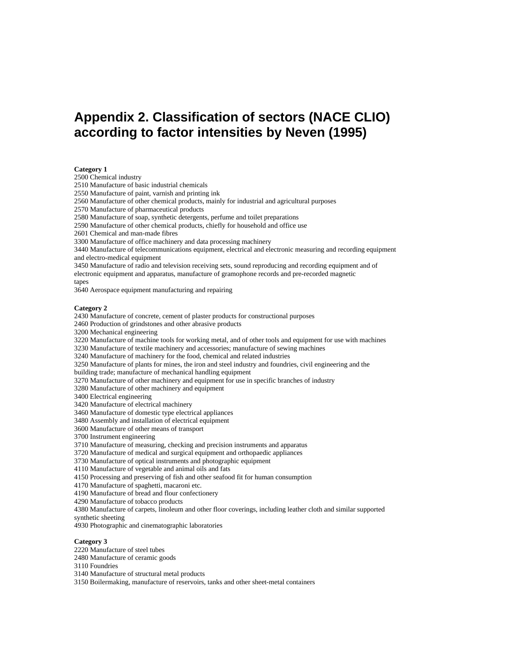# **Appendix 2. Classification of sectors (NACE CLIO) according to factor intensities by Neven (1995)**

#### **Category 1**

2500 Chemical industry

2510 Manufacture of basic industrial chemicals

2550 Manufacture of paint, varnish and printing ink

2560 Manufacture of other chemical products, mainly for industrial and agricultural purposes

2570 Manufacture of pharmaceutical products

2580 Manufacture of soap, synthetic detergents, perfume and toilet preparations

2590 Manufacture of other chemical products, chiefly for household and office use

2601 Chemical and man-made fibres

3300 Manufacture of office machinery and data processing machinery

3440 Manufacture of telecommunications equipment, electrical and electronic measuring and recording equipment and electro-medical equipment

3450 Manufacture of radio and television receiving sets, sound reproducing and recording equipment and of

electronic equipment and apparatus, manufacture of gramophone records and pre-recorded magnetic

tapes

3640 Aerospace equipment manufacturing and repairing

#### **Category 2**

2430 Manufacture of concrete, cement of plaster products for constructional purposes

2460 Production of grindstones and other abrasive products

3200 Mechanical engineering

3220 Manufacture of machine tools for working metal, and of other tools and equipment for use with machines

3230 Manufacture of textile machinery and accessories; manufacture of sewing machines

3240 Manufacture of machinery for the food, chemical and related industries

3250 Manufacture of plants for mines, the iron and steel industry and foundries, civil engineering and the

building trade; manufacture of mechanical handling equipment

3270 Manufacture of other machinery and equipment for use in specific branches of industry

3280 Manufacture of other machinery and equipment

3400 Electrical engineering

3420 Manufacture of electrical machinery

3460 Manufacture of domestic type electrical appliances

3480 Assembly and installation of electrical equipment

3600 Manufacture of other means of transport

3700 Instrument engineering

3710 Manufacture of measuring, checking and precision instruments and apparatus

3720 Manufacture of medical and surgical equipment and orthopaedic appliances

3730 Manufacture of optical instruments and photographic equipment

4110 Manufacture of vegetable and animal oils and fats

4150 Processing and preserving of fish and other seafood fit for human consumption

4170 Manufacture of spaghetti, macaroni etc.

4190 Manufacture of bread and flour confectionery

4290 Manufacture of tobacco products

4380 Manufacture of carpets, linoleum and other floor coverings, including leather cloth and similar supported synthetic sheeting

4930 Photographic and cinematographic laboratories

#### **Category 3**

2220 Manufacture of steel tubes

2480 Manufacture of ceramic goods

3110 Foundries

3140 Manufacture of structural metal products

3150 Boilermaking, manufacture of reservoirs, tanks and other sheet-metal containers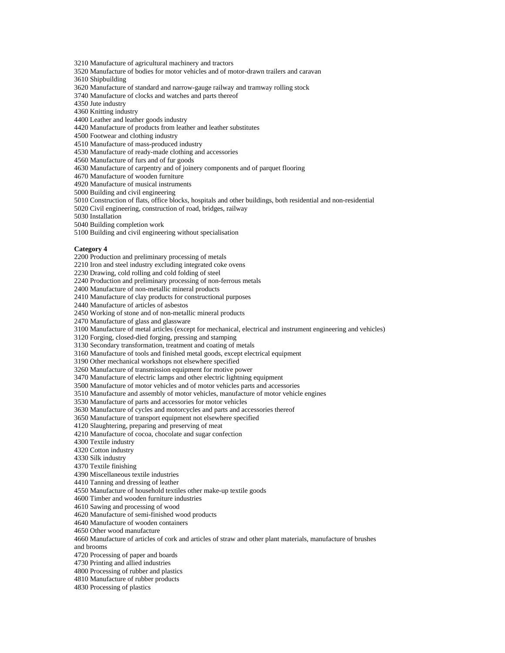3210 Manufacture of agricultural machinery and tractors

3520 Manufacture of bodies for motor vehicles and of motor-drawn trailers and caravan

3610 Shipbuilding

3620 Manufacture of standard and narrow-gauge railway and tramway rolling stock

3740 Manufacture of clocks and watches and parts thereof

4350 Jute industry

4360 Knitting industry

4400 Leather and leather goods industry

4420 Manufacture of products from leather and leather substitutes

4500 Footwear and clothing industry

4510 Manufacture of mass-produced industry

4530 Manufacture of ready-made clothing and accessories

4560 Manufacture of furs and of fur goods

4630 Manufacture of carpentry and of joinery components and of parquet flooring

4670 Manufacture of wooden furniture

4920 Manufacture of musical instruments

5000 Building and civil engineering

5010 Construction of flats, office blocks, hospitals and other buildings, both residential and non-residential

5020 Civil engineering, construction of road, bridges, railway

5030 Installation

5040 Building completion work

5100 Building and civil engineering without specialisation

#### **Category 4**

2200 Production and preliminary processing of metals

2210 Iron and steel industry excluding integrated coke ovens

2230 Drawing, cold rolling and cold folding of steel

2240 Production and preliminary processing of non-ferrous metals

2400 Manufacture of non-metallic mineral products

2410 Manufacture of clay products for constructional purposes

2440 Manufacture of articles of asbestos

2450 Working of stone and of non-metallic mineral products

2470 Manufacture of glass and glassware

3100 Manufacture of metal articles (except for mechanical, electrical and instrument engineering and vehicles)

3120 Forging, closed-died forging, pressing and stamping

3130 Secondary transformation, treatment and coating of metals

3160 Manufacture of tools and finished metal goods, except electrical equipment

3190 Other mechanical workshops not elsewhere specified

3260 Manufacture of transmission equipment for motive power

3470 Manufacture of electric lamps and other electric lightning equipment

3500 Manufacture of motor vehicles and of motor vehicles parts and accessories

3510 Manufacture and assembly of motor vehicles, manufacture of motor vehicle engines

3530 Manufacture of parts and accessories for motor vehicles

3630 Manufacture of cycles and motorcycles and parts and accessories thereof

3650 Manufacture of transport equipment not elsewhere specified

4120 Slaughtering, preparing and preserving of meat

4210 Manufacture of cocoa, chocolate and sugar confection

4300 Textile industry

4320 Cotton industry

4330 Silk industry

4370 Textile finishing

4390 Miscellaneous textile industries

4410 Tanning and dressing of leather

4550 Manufacture of household textiles other make-up textile goods

4600 Timber and wooden furniture industries

4610 Sawing and processing of wood

4620 Manufacture of semi-finished wood products

4640 Manufacture of wooden containers

4650 Other wood manufacture

4660 Manufacture of articles of cork and articles of straw and other plant materials, manufacture of brushes

and brooms

4720 Processing of paper and boards

4730 Printing and allied industries

4800 Processing of rubber and plastics

4810 Manufacture of rubber products

4830 Processing of plastics